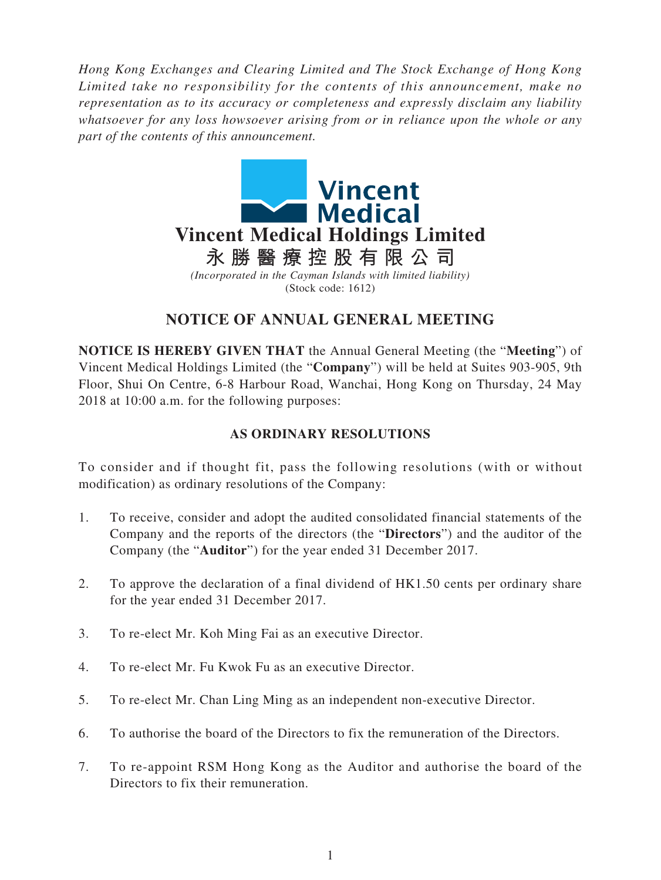*Hong Kong Exchanges and Clearing Limited and The Stock Exchange of Hong Kong Limited take no responsibility for the contents of this announcement, make no representation as to its accuracy or completeness and expressly disclaim any liability whatsoever for any loss howsoever arising from or in reliance upon the whole or any part of the contents of this announcement.*



# **NOTICE OF ANNUAL GENERAL MEETING**

**NOTICE IS HEREBY GIVEN THAT** the Annual General Meeting (the "**Meeting**") of Vincent Medical Holdings Limited (the "**Company**") will be held at Suites 903-905, 9th Floor, Shui On Centre, 6-8 Harbour Road, Wanchai, Hong Kong on Thursday, 24 May 2018 at 10:00 a.m. for the following purposes:

## **AS ORDINARY RESOLUTIONS**

To consider and if thought fit, pass the following resolutions (with or without modification) as ordinary resolutions of the Company:

- 1. To receive, consider and adopt the audited consolidated financial statements of the Company and the reports of the directors (the "**Directors**") and the auditor of the Company (the "**Auditor**") for the year ended 31 December 2017.
- 2. To approve the declaration of a final dividend of HK1.50 cents per ordinary share for the year ended 31 December 2017.
- 3. To re-elect Mr. Koh Ming Fai as an executive Director.
- 4. To re-elect Mr. Fu Kwok Fu as an executive Director.
- 5. To re-elect Mr. Chan Ling Ming as an independent non-executive Director.
- 6. To authorise the board of the Directors to fix the remuneration of the Directors.
- 7. To re-appoint RSM Hong Kong as the Auditor and authorise the board of the Directors to fix their remuneration.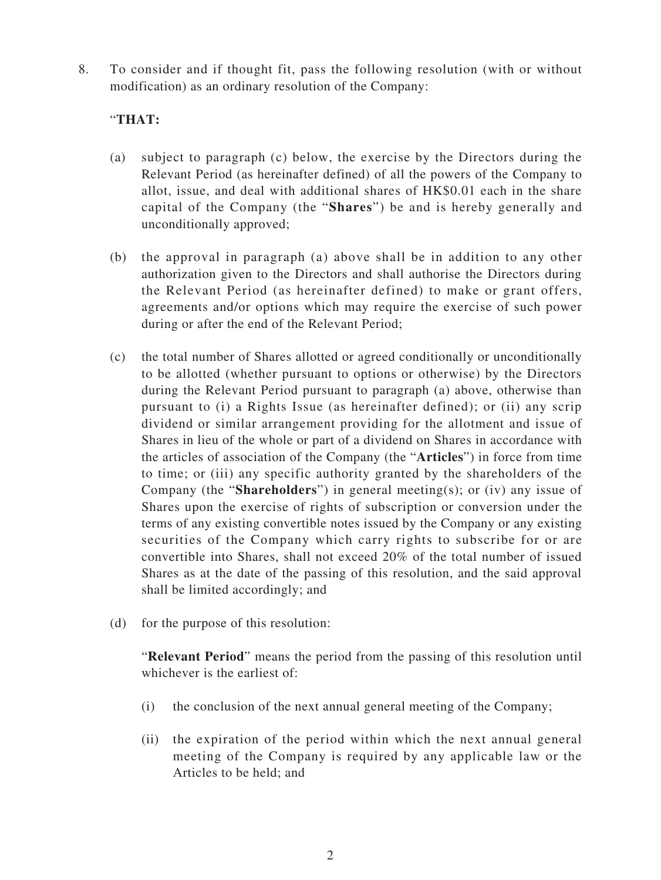8. To consider and if thought fit, pass the following resolution (with or without modification) as an ordinary resolution of the Company:

#### "**THAT:**

- (a) subject to paragraph (c) below, the exercise by the Directors during the Relevant Period (as hereinafter defined) of all the powers of the Company to allot, issue, and deal with additional shares of HK\$0.01 each in the share capital of the Company (the "**Shares**") be and is hereby generally and unconditionally approved;
- (b) the approval in paragraph (a) above shall be in addition to any other authorization given to the Directors and shall authorise the Directors during the Relevant Period (as hereinafter defined) to make or grant offers, agreements and/or options which may require the exercise of such power during or after the end of the Relevant Period;
- (c) the total number of Shares allotted or agreed conditionally or unconditionally to be allotted (whether pursuant to options or otherwise) by the Directors during the Relevant Period pursuant to paragraph (a) above, otherwise than pursuant to (i) a Rights Issue (as hereinafter defined); or (ii) any scrip dividend or similar arrangement providing for the allotment and issue of Shares in lieu of the whole or part of a dividend on Shares in accordance with the articles of association of the Company (the "**Articles**") in force from time to time; or (iii) any specific authority granted by the shareholders of the Company (the "**Shareholders**") in general meeting(s); or (iv) any issue of Shares upon the exercise of rights of subscription or conversion under the terms of any existing convertible notes issued by the Company or any existing securities of the Company which carry rights to subscribe for or are convertible into Shares, shall not exceed 20% of the total number of issued Shares as at the date of the passing of this resolution, and the said approval shall be limited accordingly; and
- (d) for the purpose of this resolution:

"**Relevant Period**" means the period from the passing of this resolution until whichever is the earliest of:

- (i) the conclusion of the next annual general meeting of the Company;
- (ii) the expiration of the period within which the next annual general meeting of the Company is required by any applicable law or the Articles to be held; and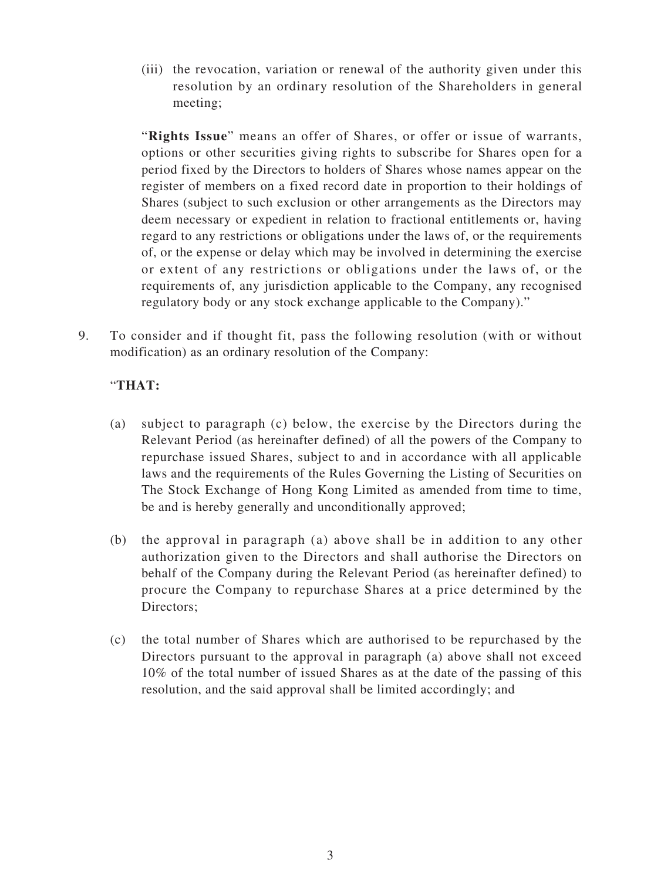(iii) the revocation, variation or renewal of the authority given under this resolution by an ordinary resolution of the Shareholders in general meeting;

"**Rights Issue**" means an offer of Shares, or offer or issue of warrants, options or other securities giving rights to subscribe for Shares open for a period fixed by the Directors to holders of Shares whose names appear on the register of members on a fixed record date in proportion to their holdings of Shares (subject to such exclusion or other arrangements as the Directors may deem necessary or expedient in relation to fractional entitlements or, having regard to any restrictions or obligations under the laws of, or the requirements of, or the expense or delay which may be involved in determining the exercise or extent of any restrictions or obligations under the laws of, or the requirements of, any jurisdiction applicable to the Company, any recognised regulatory body or any stock exchange applicable to the Company)."

9. To consider and if thought fit, pass the following resolution (with or without modification) as an ordinary resolution of the Company:

### "**THAT:**

- (a) subject to paragraph (c) below, the exercise by the Directors during the Relevant Period (as hereinafter defined) of all the powers of the Company to repurchase issued Shares, subject to and in accordance with all applicable laws and the requirements of the Rules Governing the Listing of Securities on The Stock Exchange of Hong Kong Limited as amended from time to time, be and is hereby generally and unconditionally approved;
- (b) the approval in paragraph (a) above shall be in addition to any other authorization given to the Directors and shall authorise the Directors on behalf of the Company during the Relevant Period (as hereinafter defined) to procure the Company to repurchase Shares at a price determined by the Directors;
- (c) the total number of Shares which are authorised to be repurchased by the Directors pursuant to the approval in paragraph (a) above shall not exceed 10% of the total number of issued Shares as at the date of the passing of this resolution, and the said approval shall be limited accordingly; and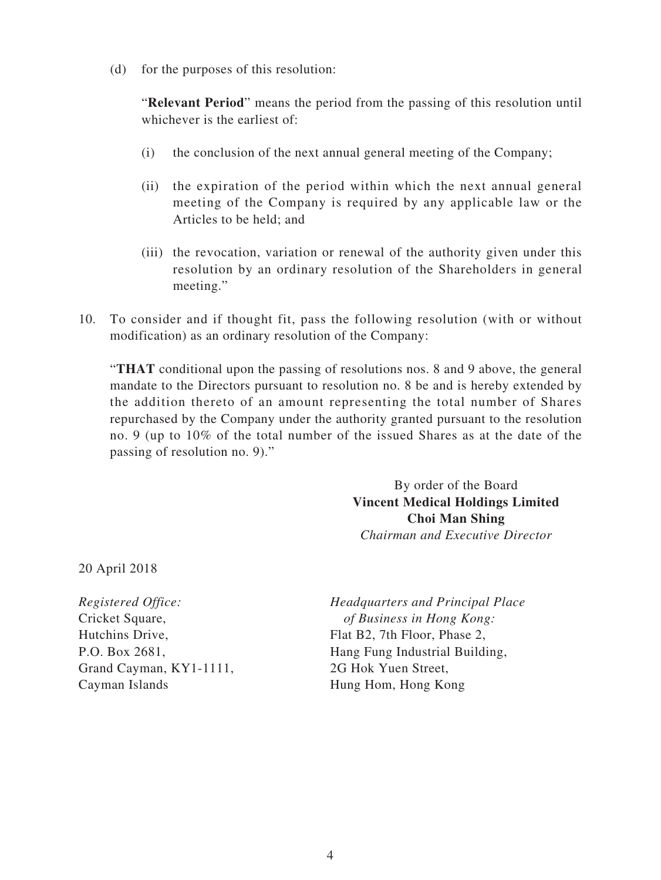(d) for the purposes of this resolution:

"**Relevant Period**" means the period from the passing of this resolution until whichever is the earliest of:

- (i) the conclusion of the next annual general meeting of the Company;
- (ii) the expiration of the period within which the next annual general meeting of the Company is required by any applicable law or the Articles to be held; and
- (iii) the revocation, variation or renewal of the authority given under this resolution by an ordinary resolution of the Shareholders in general meeting."
- 10. To consider and if thought fit, pass the following resolution (with or without modification) as an ordinary resolution of the Company:

"**THAT** conditional upon the passing of resolutions nos. 8 and 9 above, the general mandate to the Directors pursuant to resolution no. 8 be and is hereby extended by the addition thereto of an amount representing the total number of Shares repurchased by the Company under the authority granted pursuant to the resolution no. 9 (up to 10% of the total number of the issued Shares as at the date of the passing of resolution no. 9)."

> By order of the Board **Vincent Medical Holdings Limited Choi Man Shing** *Chairman and Executive Director*

20 April 2018

Grand Cayman, KY1-1111, 2G Hok Yuen Street, Cayman Islands Hung Hom, Hong Kong

*Registered Office: Headquarters and Principal Place* Cricket Square, *of Business in Hong Kong:* Hutchins Drive, Flat B2, 7th Floor, Phase 2, P.O. Box 2681, Hang Fung Industrial Building,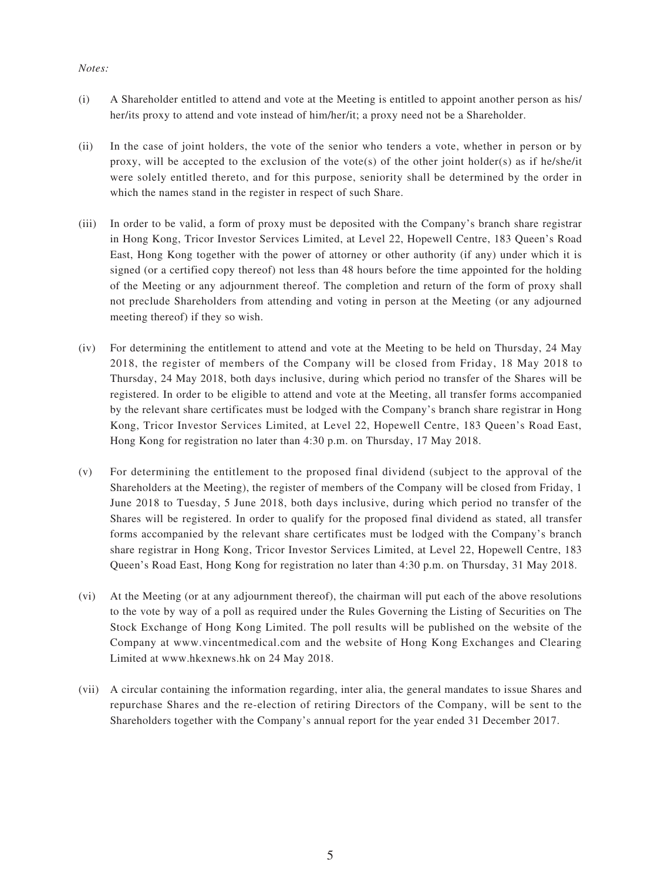#### *Notes:*

- (i) A Shareholder entitled to attend and vote at the Meeting is entitled to appoint another person as his/ her/its proxy to attend and vote instead of him/her/it; a proxy need not be a Shareholder.
- (ii) In the case of joint holders, the vote of the senior who tenders a vote, whether in person or by proxy, will be accepted to the exclusion of the vote(s) of the other joint holder(s) as if he/she/it were solely entitled thereto, and for this purpose, seniority shall be determined by the order in which the names stand in the register in respect of such Share.
- (iii) In order to be valid, a form of proxy must be deposited with the Company's branch share registrar in Hong Kong, Tricor Investor Services Limited, at Level 22, Hopewell Centre, 183 Queen's Road East, Hong Kong together with the power of attorney or other authority (if any) under which it is signed (or a certified copy thereof) not less than 48 hours before the time appointed for the holding of the Meeting or any adjournment thereof. The completion and return of the form of proxy shall not preclude Shareholders from attending and voting in person at the Meeting (or any adjourned meeting thereof) if they so wish.
- (iv) For determining the entitlement to attend and vote at the Meeting to be held on Thursday, 24 May 2018, the register of members of the Company will be closed from Friday, 18 May 2018 to Thursday, 24 May 2018, both days inclusive, during which period no transfer of the Shares will be registered. In order to be eligible to attend and vote at the Meeting, all transfer forms accompanied by the relevant share certificates must be lodged with the Company's branch share registrar in Hong Kong, Tricor Investor Services Limited, at Level 22, Hopewell Centre, 183 Queen's Road East, Hong Kong for registration no later than 4:30 p.m. on Thursday, 17 May 2018.
- (v) For determining the entitlement to the proposed final dividend (subject to the approval of the Shareholders at the Meeting), the register of members of the Company will be closed from Friday, 1 June 2018 to Tuesday, 5 June 2018, both days inclusive, during which period no transfer of the Shares will be registered. In order to qualify for the proposed final dividend as stated, all transfer forms accompanied by the relevant share certificates must be lodged with the Company's branch share registrar in Hong Kong, Tricor Investor Services Limited, at Level 22, Hopewell Centre, 183 Queen's Road East, Hong Kong for registration no later than 4:30 p.m. on Thursday, 31 May 2018.
- (vi) At the Meeting (or at any adjournment thereof), the chairman will put each of the above resolutions to the vote by way of a poll as required under the Rules Governing the Listing of Securities on The Stock Exchange of Hong Kong Limited. The poll results will be published on the website of the Company at www.vincentmedical.com and the website of Hong Kong Exchanges and Clearing Limited at www.hkexnews.hk on 24 May 2018.
- (vii) A circular containing the information regarding, inter alia, the general mandates to issue Shares and repurchase Shares and the re-election of retiring Directors of the Company, will be sent to the Shareholders together with the Company's annual report for the year ended 31 December 2017.